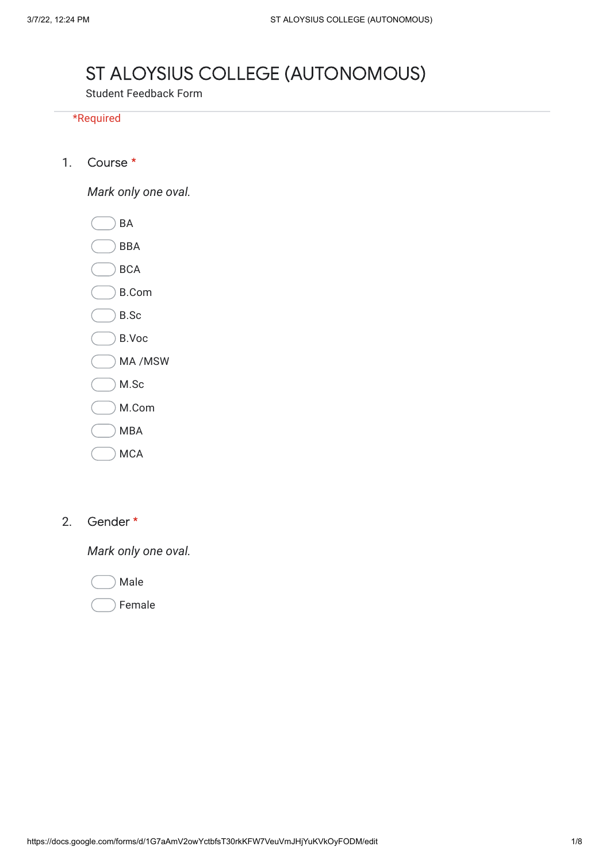## ST ALOYSIUS COLLEGE (AUTONOMOUS)

Student Feedback Form

## \*Required

1. Course \*

*Mark only one oval.*

BA

BBA

BCA

- B.Com
- B.Sc
- B.Voc
- MA /MSW
- M.Sc
- M.Com
- MBA
- **MCA**
- 2. Gender \*

*Mark only one oval.*

Male

Female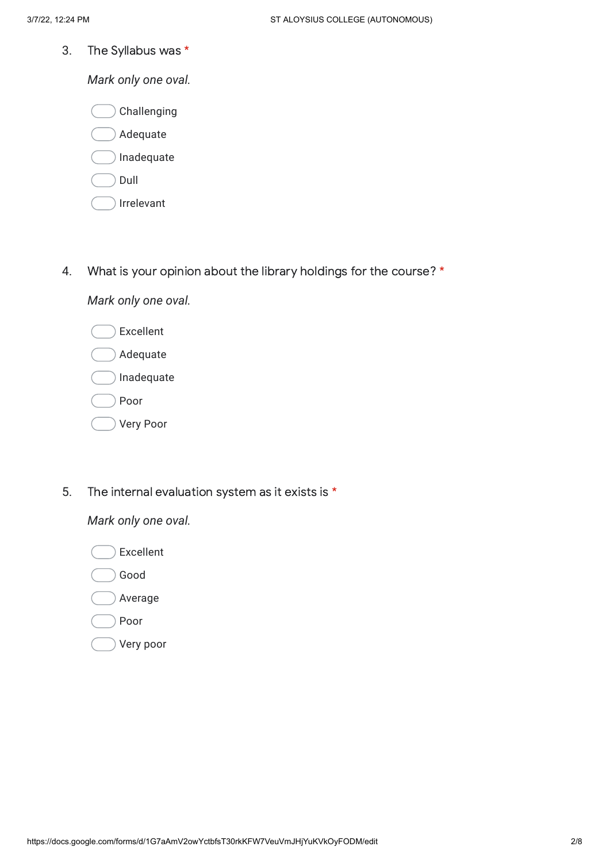3. The Syllabus was \*

*Mark only one oval.*

|  | ∕ Challenging |
|--|---------------|
|  |               |

- Adequate
- Inadequate
- Dull
- Irrelevant
- 4. What is your opinion about the library holdings for the course? \*

*Mark only one oval.*

- Excellent Adequate Inadequate
- Poor
- Very Poor
- 5. The internal evaluation system as it exists is \*

- Excellent
- Good
- Average
- Poor
- Very poor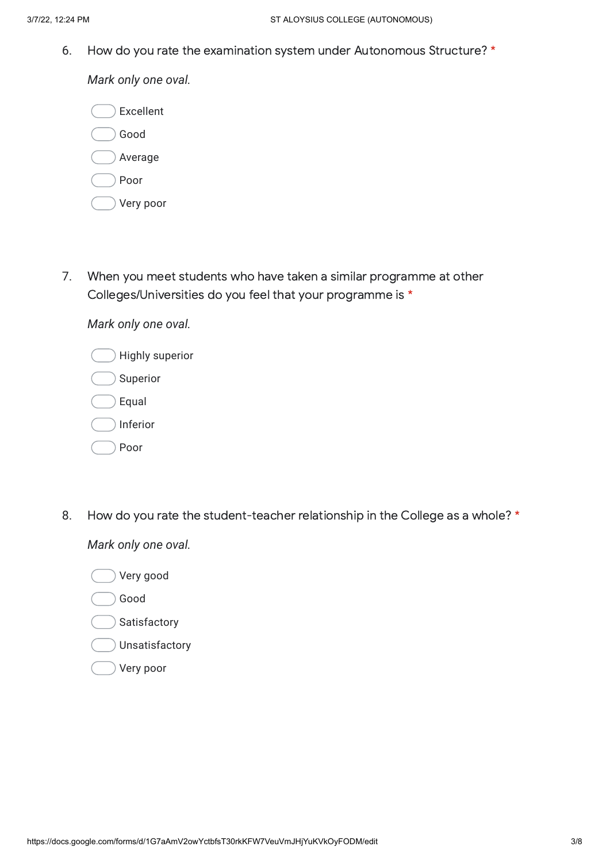6. How do you rate the examination system under Autonomous Structure? \*

*Mark only one oval.*

| Excellent |
|-----------|
| Good      |
| Average   |
| Poor      |
| Very poor |

7. When you meet students who have taken a similar programme at other Colleges/Universities do you feel that your programme is \*

*Mark only one oval.*

| Highly superior |
|-----------------|
| Superior        |
| Equal           |
| Inferior        |
| Poor            |

8. How do you rate the student-teacher relationship in the College as a whole? \*

- Very good
- Good
- Satisfactory
- Unsatisfactory
- Very poor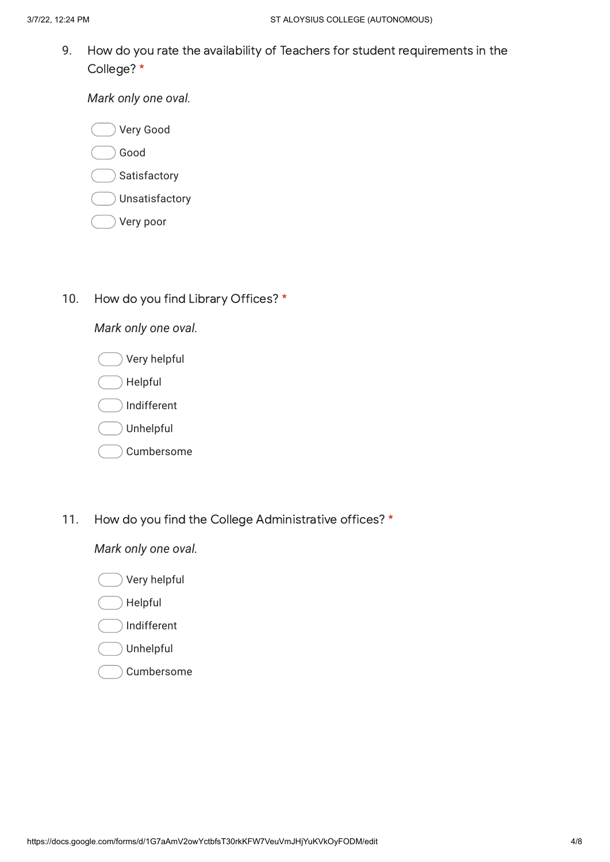9. How do you rate the availability of Teachers for student requirements in the College? \*

*Mark only one oval.*

- Good
- Satisfactory
- Unsatisfactory
- Very poor
- 10. How do you find Library Offices? \*

*Mark only one oval.*

| Very helpful |
|--------------|
| Helpful      |
| Indifferent  |
| Unhelpful    |
| Cumbersome   |

11. How do you find the College Administrative offices? \*

- Very helpful
- Helpful
- Indifferent
- Unhelpful
- Cumbersome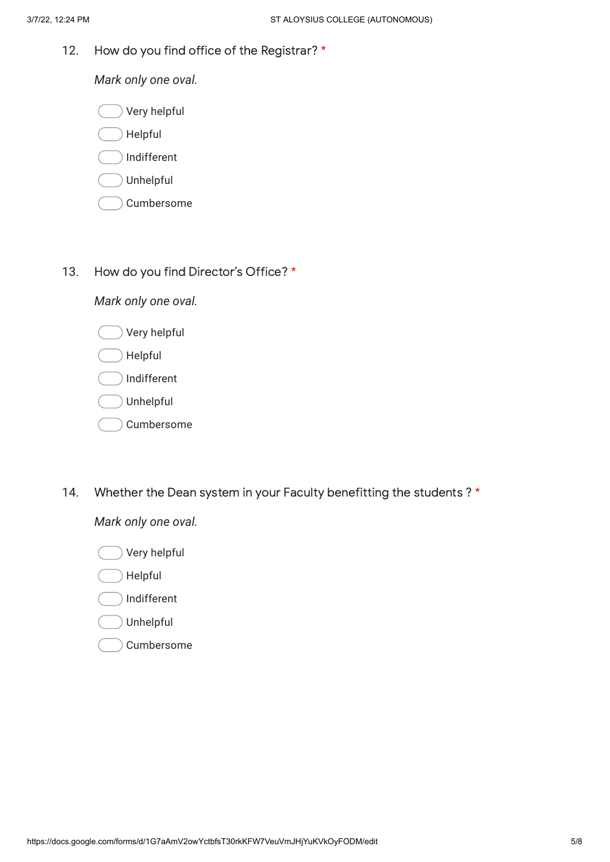12. How do you find office of the Registrar? \*

*Mark only one oval.*

- Very helpful
- Helpful
- Indifferent
- Unhelpful
- Cumbersome
- 13. How do you find Director's Office? \*

*Mark only one oval.*

- Very helpful
- Helpful
- Indifferent
- Unhelpful
- Cumbersome
- 14. Whether the Dean system in your Faculty benefitting the students ? \*

- Very helpful
- Helpful
- Indifferent
- Unhelpful
- Cumbersome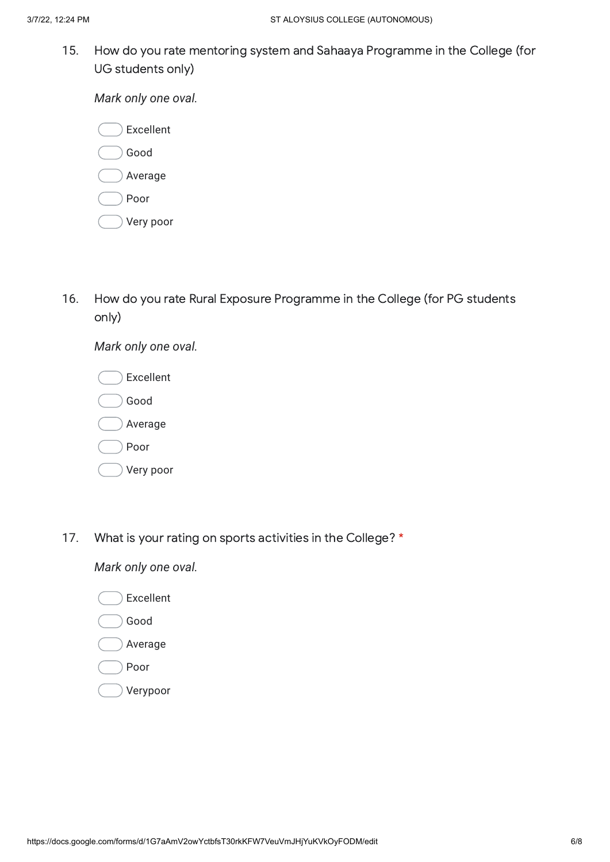15. How do you rate mentoring system and Sahaaya Programme in the College (for UG students only)

*Mark only one oval.*

| Excellent |
|-----------|
| Good      |
| Average   |
| Poor      |
| Very poor |

16. How do you rate Rural Exposure Programme in the College (for PG students only)

| Excellent |
|-----------|
| Good      |
| Average   |
| Poor      |
| Very poor |
|           |

*Mark only one oval.*

17. What is your rating on sports activities in the College? \*

- Excellent
- Good
- Average
- Poor
- Verypoor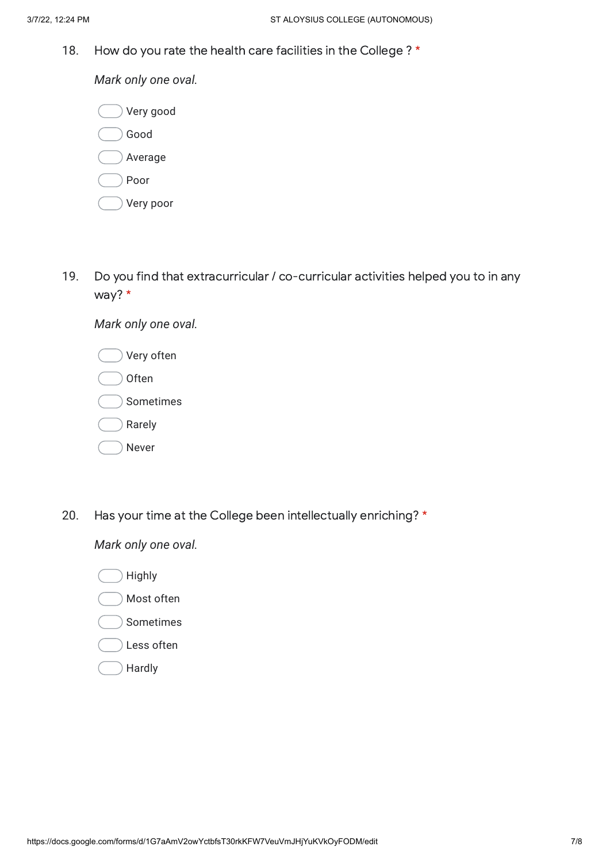18. How do you rate the health care facilities in the College ? \*

*Mark only one oval.*

| Very good |
|-----------|
| Good      |
| Average   |
| Poor      |
| Very poor |

19. Do you find that extracurricular / co-curricular activities helped you to in any way? \*

*Mark only one oval.*

| Very often   |
|--------------|
| <b>Often</b> |
| Sometimes    |
| Rarely       |
| Never        |

20. Has your time at the College been intellectually enriching? \*

- Highly
- Most often
- Sometimes
- Less often
- Hardly